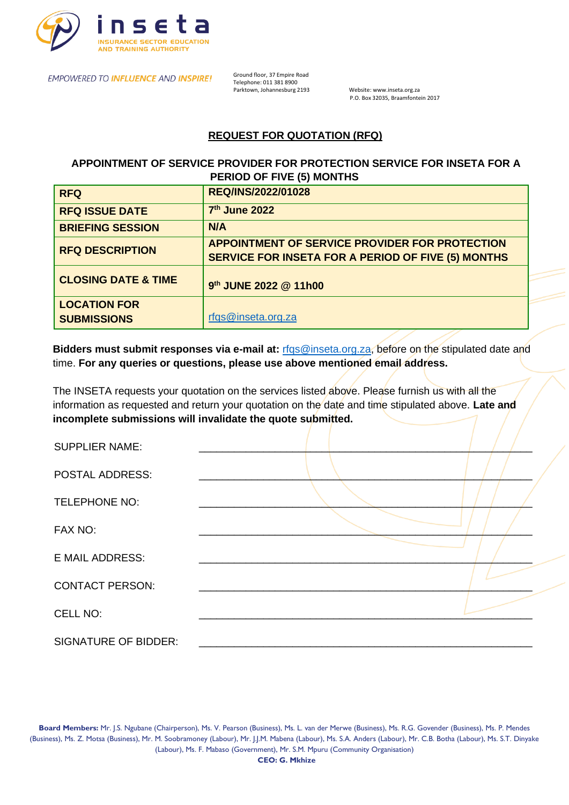

EMPOWERED TO INFLUENCE AND INSPIRE! Ground floor, 37 Empire Road

Telephone: 011 381 8900<br>Parktown, Johannesburg 2193

Website: www.inseta.org.za P.O. Box 32035, Braamfontein 2017

# **REQUEST FOR QUOTATION (RFQ)**

 **APPOINTMENT OF SERVICE PROVIDER FOR PROTECTION SERVICE FOR INSETA FOR A PERIOD OF FIVE (5) MONTHS**

| <b>RFQ</b>                                | REQ/INS/2022/01028                                                                                   |
|-------------------------------------------|------------------------------------------------------------------------------------------------------|
| <b>RFQ ISSUE DATE</b>                     | 7th June 2022                                                                                        |
| <b>BRIEFING SESSION</b>                   | N/A                                                                                                  |
| <b>RFQ DESCRIPTION</b>                    | APPOINTMENT OF SERVICE PROVIDER FOR PROTECTION<br>SERVICE FOR INSETA FOR A PERIOD OF FIVE (5) MONTHS |
| <b>CLOSING DATE &amp; TIME</b>            | 9th JUNE 2022 @ 11h00                                                                                |
| <b>LOCATION FOR</b><br><b>SUBMISSIONS</b> | rfqs@inseta.org.za                                                                                   |

**Bidders must submit responses via e-mail at:** rfgs@inseta.org.za, before on the stipulated date and time. **For any queries or questions, please use above mentioned email address.**

The INSETA requests your quotation on the services listed above. Please furnish us with all the information as requested and return your quotation on the date and time stipulated above. **Late and incomplete submissions will invalidate the quote submitted.**

| <b>SUPPLIER NAME:</b>       |  |
|-----------------------------|--|
| <b>POSTAL ADDRESS:</b>      |  |
| <b>TELEPHONE NO:</b>        |  |
| FAX NO:                     |  |
| <b>E MAIL ADDRESS:</b>      |  |
| <b>CONTACT PERSON:</b>      |  |
| CELL NO:                    |  |
| <b>SIGNATURE OF BIDDER:</b> |  |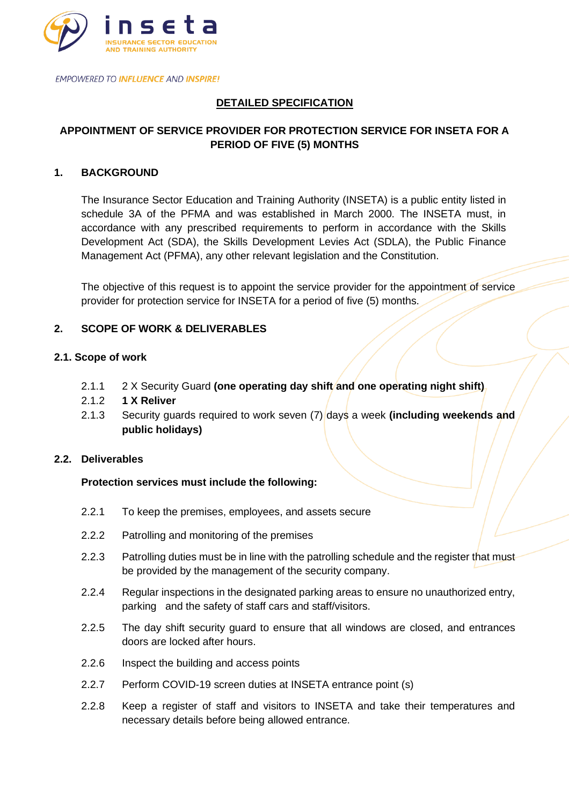

# **DETAILED SPECIFICATION**

# **APPOINTMENT OF SERVICE PROVIDER FOR PROTECTION SERVICE FOR INSETA FOR A PERIOD OF FIVE (5) MONTHS**

### **1. BACKGROUND**

The Insurance Sector Education and Training Authority (INSETA) is a public entity listed in schedule 3A of the PFMA and was established in March 2000. The INSETA must, in accordance with any prescribed requirements to perform in accordance with the Skills Development Act (SDA), the Skills Development Levies Act (SDLA), the Public Finance Management Act (PFMA), any other relevant legislation and the Constitution.

The objective of this request is to appoint the service provider for the appointment of service provider for protection service for INSETA for a period of five (5) months.

### **2. SCOPE OF WORK & DELIVERABLES**

#### **2.1. Scope of work**

- 2.1.1 2 X Security Guard **(one operating day shift and one operating night shift)**
- 2.1.2 **1 X Reliver**
- 2.1.3 Security guards required to work seven (7) days a week **(including weekends and public holidays)**

#### **2.2. Deliverables**

### **Protection services must include the following:**

- 2.2.1 To keep the premises, employees, and assets secure
- 2.2.2 Patrolling and monitoring of the premises
- 2.2.3 Patrolling duties must be in line with the patrolling schedule and the register that must be provided by the management of the security company.
- 2.2.4 Regular inspections in the designated parking areas to ensure no unauthorized entry, parking and the safety of staff cars and staff/visitors.
- 2.2.5 The day shift security guard to ensure that all windows are closed, and entrances doors are locked after hours.
- 2.2.6 Inspect the building and access points
- 2.2.7 Perform COVID-19 screen duties at INSETA entrance point (s)
- 2.2.8 Keep a register of staff and visitors to INSETA and take their temperatures and necessary details before being allowed entrance.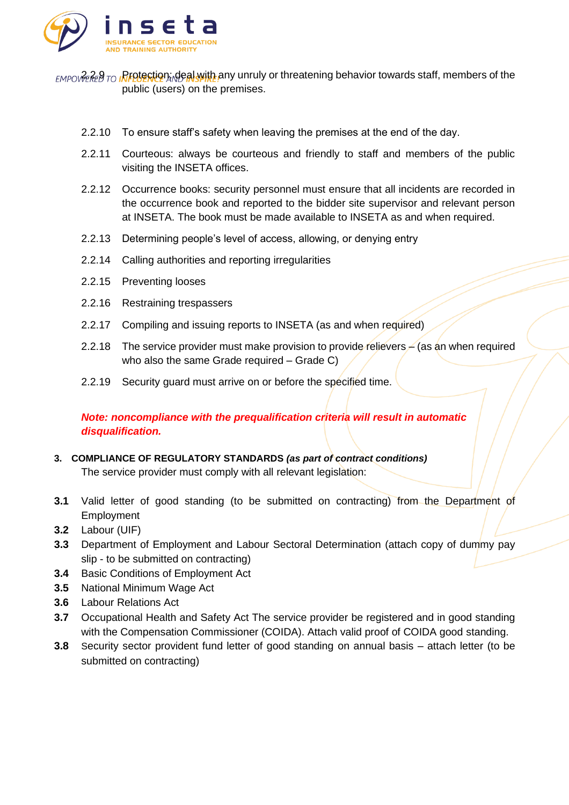

**EMPOVIERED TO INFOTECTION: deal with any unruly or threatening behavior towards staff, members of the** public (users) on the premises.

- 2.2.10 To ensure staff's safety when leaving the premises at the end of the day.
- 2.2.11 Courteous: always be courteous and friendly to staff and members of the public visiting the INSETA offices.
- 2.2.12 Occurrence books: security personnel must ensure that all incidents are recorded in the occurrence book and reported to the bidder site supervisor and relevant person at INSETA. The book must be made available to INSETA as and when required.
- 2.2.13 Determining people's level of access, allowing, or denying entry
- 2.2.14 Calling authorities and reporting irregularities
- 2.2.15 Preventing looses
- 2.2.16 Restraining trespassers
- 2.2.17 Compiling and issuing reports to INSETA (as and when required)
- 2.2.18 The service provider must make provision to provide relievers  $\neq$  (as an when required who also the same Grade required – Grade C)
- 2.2.19 Security guard must arrive on or before the specified time.

*Note: noncompliance with the prequalification criteria will result in automatic disqualification.*

- **3. COMPLIANCE OF REGULATORY STANDARDS** *(as part of contract conditions)* The service provider must comply with all relevant legislation:
- **3.1** Valid letter of good standing (to be submitted on contracting) from the Department of Employment
- **3.2** Labour (UIF)
- **3.3** Department of Employment and Labour Sectoral Determination (attach copy of dummy pay slip - to be submitted on contracting)
- **3.4** Basic Conditions of Employment Act
- **3.5** National Minimum Wage Act
- **3.6** Labour Relations Act
- **3.7** Occupational Health and Safety Act The service provider be registered and in good standing with the Compensation Commissioner (COIDA). Attach valid proof of COIDA good standing.
- **3.8** Security sector provident fund letter of good standing on annual basis attach letter (to be submitted on contracting)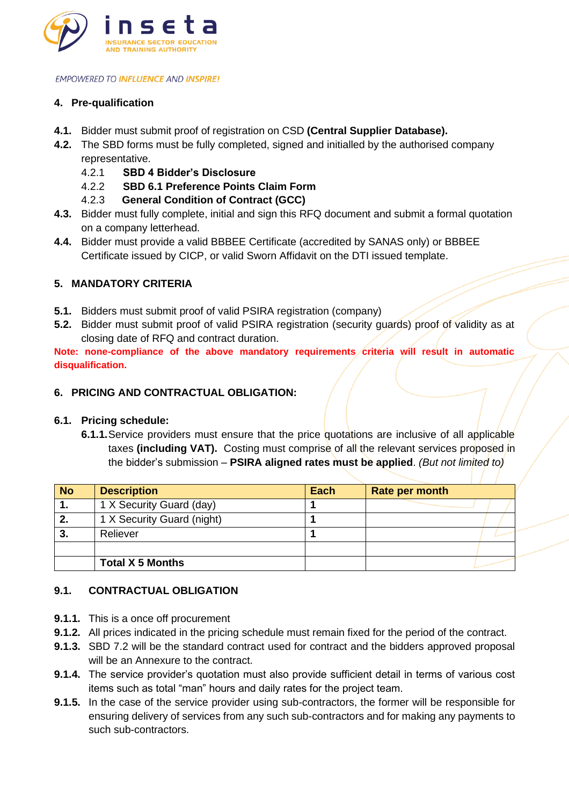

## **4. Pre-qualification**

- **4.1.** Bidder must submit proof of registration on CSD **(Central Supplier Database).**
- **4.2.** The SBD forms must be fully completed, signed and initialled by the authorised company representative.
	- 4.2.1 **SBD 4 Bidder's Disclosure**
	- 4.2.2 **SBD 6.1 Preference Points Claim Form**
	- 4.2.3 **General Condition of Contract (GCC)**
- **4.3.** Bidder must fully complete, initial and sign this RFQ document and submit a formal quotation on a company letterhead.
- **4.4.** Bidder must provide a valid BBBEE Certificate (accredited by SANAS only) or BBBEE Certificate issued by CICP, or valid Sworn Affidavit on the DTI issued template.

## **5. MANDATORY CRITERIA**

- **5.1.** Bidders must submit proof of valid PSIRA registration (company)
- **5.2.** Bidder must submit proof of valid PSIRA registration (security guards) proof of validity as at closing date of RFQ and contract duration.

**Note: none-compliance of the above mandatory requirements criteria will result in automatic disqualification.**

### **6. PRICING AND CONTRACTUAL OBLIGATION:**

### **6.1. Pricing schedule:**

**6.1.1.**Service providers must ensure that the price quotations are inclusive of all applicable taxes **(including VAT).** Costing must comprise of all the relevant services proposed in the bidder's submission – **PSIRA aligned rates must be applied**. *(But not limited to)*

| <b>No</b> | <b>Description</b>         | Each | Rate per month |
|-----------|----------------------------|------|----------------|
| п.        | 1 X Security Guard (day)   |      |                |
|           | 1 X Security Guard (night) |      |                |
| 3.        | Reliever                   |      |                |
|           |                            |      |                |
|           | <b>Total X 5 Months</b>    |      |                |

### **9.1. CONTRACTUAL OBLIGATION**

- **9.1.1.** This is a once off procurement
- **9.1.2.** All prices indicated in the pricing schedule must remain fixed for the period of the contract.
- **9.1.3.** SBD 7.2 will be the standard contract used for contract and the bidders approved proposal will be an Annexure to the contract.
- **9.1.4.** The service provider's quotation must also provide sufficient detail in terms of various cost items such as total "man" hours and daily rates for the project team.
- **9.1.5.** In the case of the service provider using sub-contractors, the former will be responsible for ensuring delivery of services from any such sub-contractors and for making any payments to such sub-contractors.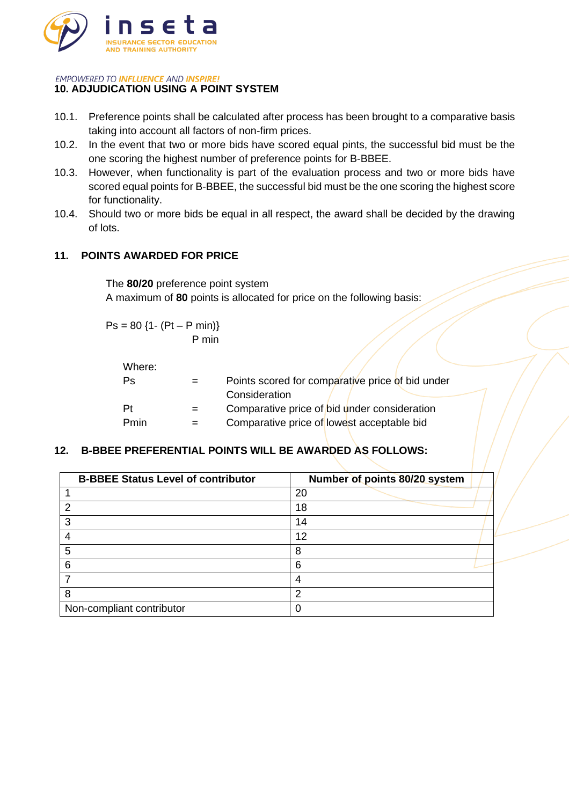

## **10. ADJUDICATION USING A POINT SYSTEM**

- 10.1. Preference points shall be calculated after process has been brought to a comparative basis taking into account all factors of non-firm prices.
- 10.2. In the event that two or more bids have scored equal pints, the successful bid must be the one scoring the highest number of preference points for B-BBEE.
- 10.3. However, when functionality is part of the evaluation process and two or more bids have scored equal points for B-BBEE, the successful bid must be the one scoring the highest score for functionality.
- 10.4. Should two or more bids be equal in all respect, the award shall be decided by the drawing of lots.

## **11. POINTS AWARDED FOR PRICE**

The **80/20** preference point system A maximum of **80** points is allocated for price on the following basis:

 $Ps = 80$  {1- (Pt – P min)} P min

| Where: |     |                                                  |
|--------|-----|--------------------------------------------------|
| Ps     |     | Points scored for comparative price of bid under |
|        |     | Consideration                                    |
| Pt     | $=$ | Comparative price of bid under consideration     |
| Pmin   |     | Comparative price of lowest acceptable bid       |

### **12. B-BBEE PREFERENTIAL POINTS WILL BE AWARDED AS FOLLOWS:**

| <b>B-BBEE Status Level of contributor</b> | Number of points 80/20 system |
|-------------------------------------------|-------------------------------|
|                                           | 20                            |
| 2                                         | 18                            |
| 3                                         | 14                            |
| 4                                         | 12                            |
| 5                                         | 8                             |
| 6                                         | 6                             |
|                                           |                               |
| 8                                         | າ                             |
| Non-compliant contributor                 |                               |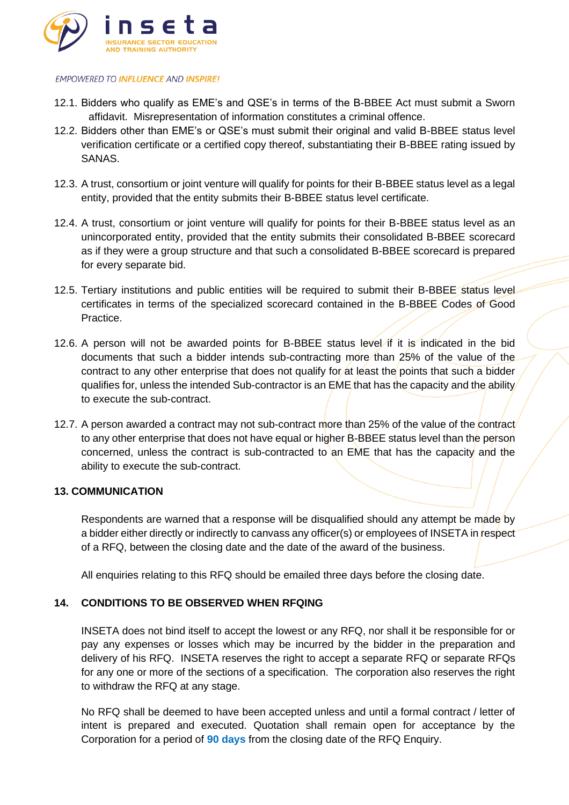

- 12.1. Bidders who qualify as EME's and QSE's in terms of the B-BBEE Act must submit a Sworn affidavit. Misrepresentation of information constitutes a criminal offence.
- 12.2. Bidders other than EME's or QSE's must submit their original and valid B-BBEE status level verification certificate or a certified copy thereof, substantiating their B-BBEE rating issued by SANAS.
- 12.3. A trust, consortium or joint venture will qualify for points for their B-BBEE status level as a legal entity, provided that the entity submits their B-BBEE status level certificate.
- 12.4. A trust, consortium or joint venture will qualify for points for their B-BBEE status level as an unincorporated entity, provided that the entity submits their consolidated B-BBEE scorecard as if they were a group structure and that such a consolidated B-BBEE scorecard is prepared for every separate bid.
- 12.5. Tertiary institutions and public entities will be required to submit their B-BBEE status level certificates in terms of the specialized scorecard contained in the B-BBEE Codes of Good Practice.
- 12.6. A person will not be awarded points for B-BBEE status level if it is indicated in the bid documents that such a bidder intends sub-contracting more than 25% of the value of the contract to any other enterprise that does not qualify for at least the points that such a bidder qualifies for, unless the intended Sub-contractor is an EME that has the capacity and the ability to execute the sub-contract.
- 12.7. A person awarded a contract may not sub-contract more than 25% of the value of the contract to any other enterprise that does not have equal or higher B-BBEE status level than the person concerned, unless the contract is sub-contracted to an EME that has the capacity and the ability to execute the sub-contract.

### **13. COMMUNICATION**

Respondents are warned that a response will be disqualified should any attempt be made by a bidder either directly or indirectly to canvass any officer(s) or employees of INSETA in respect of a RFQ, between the closing date and the date of the award of the business.

All enquiries relating to this RFQ should be emailed three days before the closing date.

### **14. CONDITIONS TO BE OBSERVED WHEN RFQING**

INSETA does not bind itself to accept the lowest or any RFQ, nor shall it be responsible for or pay any expenses or losses which may be incurred by the bidder in the preparation and delivery of his RFQ. INSETA reserves the right to accept a separate RFQ or separate RFQs for any one or more of the sections of a specification. The corporation also reserves the right to withdraw the RFQ at any stage.

No RFQ shall be deemed to have been accepted unless and until a formal contract / letter of intent is prepared and executed. Quotation shall remain open for acceptance by the Corporation for a period of **90 days** from the closing date of the RFQ Enquiry.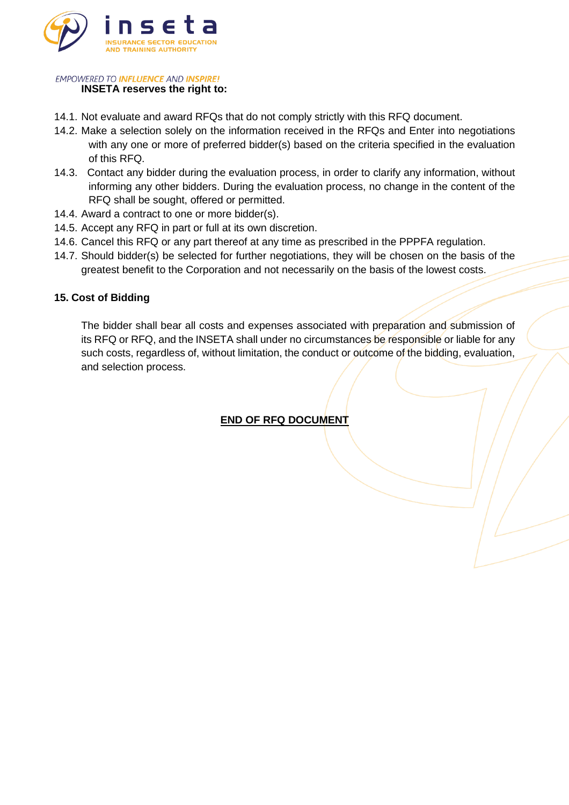

# **INSETA reserves the right to:**

- 14.1. Not evaluate and award RFQs that do not comply strictly with this RFQ document.
- 14.2. Make a selection solely on the information received in the RFQs and Enter into negotiations with any one or more of preferred bidder(s) based on the criteria specified in the evaluation of this RFQ.
- 14.3. Contact any bidder during the evaluation process, in order to clarify any information, without informing any other bidders. During the evaluation process, no change in the content of the RFQ shall be sought, offered or permitted.
- 14.4. Award a contract to one or more bidder(s).
- 14.5. Accept any RFQ in part or full at its own discretion.
- 14.6. Cancel this RFQ or any part thereof at any time as prescribed in the PPPFA regulation.
- 14.7. Should bidder(s) be selected for further negotiations, they will be chosen on the basis of the greatest benefit to the Corporation and not necessarily on the basis of the lowest costs.

### **15. Cost of Bidding**

The bidder shall bear all costs and expenses associated with preparation and submission of its RFQ or RFQ, and the INSETA shall under no circumstances be responsible or liable for any such costs, regardless of, without limitation, the conduct or outcome of the bidding, evaluation, and selection process.

**END OF RFQ DOCUMENT**